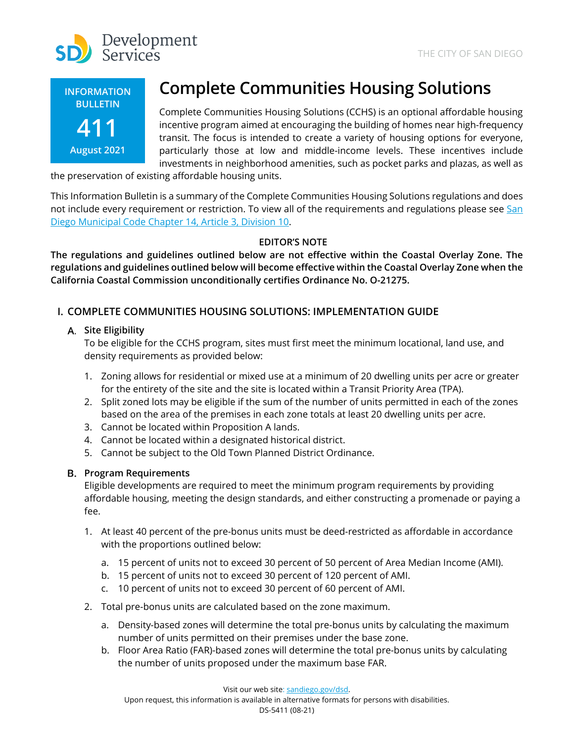



# **Complete Communities Housing Solutions**

Complete Communities Housing Solutions (CCHS) is an optional affordable housing incentive program aimed at encouraging the building of homes near high-frequency transit. The focus is intended to create a variety of housing options for everyone, particularly those at low and middle-income levels. These incentives include investments in neighborhood amenities, such as pocket parks and plazas, as well as

the preservation of existing affordable housing units.

This Information Bulletin is a summary of the Complete Communities Housing Solutions regulations and does not include every requirement or restriction. To view all of the requirements and regulations please see San [Diego Municipal Code Chapter 14, Article 3,](https://docs.sandiego.gov/municode/MuniCodeChapter14/Ch14Art03Division10.pdf) Division 10.

# **EDITOR'S NOTE**

**The regulations and guidelines outlined below are not effective within the Coastal Overlay Zone. The regulations and guidelines outlined below will become effective within the Coastal Overlay Zone when the California Coastal Commission unconditionally certifies Ordinance No. O-21275.** 

# **I. COMPLETE COMMUNITIES HOUSING SOLUTIONS: IMPLEMENTATION GUIDE**

# **Site Eligibility**

To be eligible for the CCHS program, sites must first meet the minimum locational, land use, and density requirements as provided below:

- 1. Zoning allows for residential or mixed use at a minimum of 20 dwelling units per acre or greater for the entirety of the site and the site is located within a Transit Priority Area (TPA).
- 2. Split zoned lots may be eligible if the sum of the number of units permitted in each of the zones based on the area of the premises in each zone totals at least 20 dwelling units per acre.
- 3. Cannot be located within Proposition A lands.
- 4. Cannot be located within a designated historical district.
- 5. Cannot be subject to the Old Town Planned District Ordinance.

## **Program Requirements**

Eligible developments are required to meet the minimum program requirements by providing affordable housing, meeting the design standards, and either constructing a promenade or paying a fee.

- 1. At least 40 percent of the pre-bonus units must be deed-restricted as affordable in accordance with the proportions outlined below:
	- a. 15 percent of units not to exceed 30 percent of 50 percent of Area Median Income (AMI).
	- b. 15 percent of units not to exceed 30 percent of 120 percent of AMI.
	- c. 10 percent of units not to exceed 30 percent of 60 percent of AMI.
- 2. Total pre-bonus units are calculated based on the zone maximum.
	- a. Density-based zones will determine the total pre-bonus units by calculating the maximum number of units permitted on their premises under the base zone.
	- b. Floor Area Ratio (FAR)-based zones will determine the total pre-bonus units by calculating the number of units proposed under the maximum base FAR.